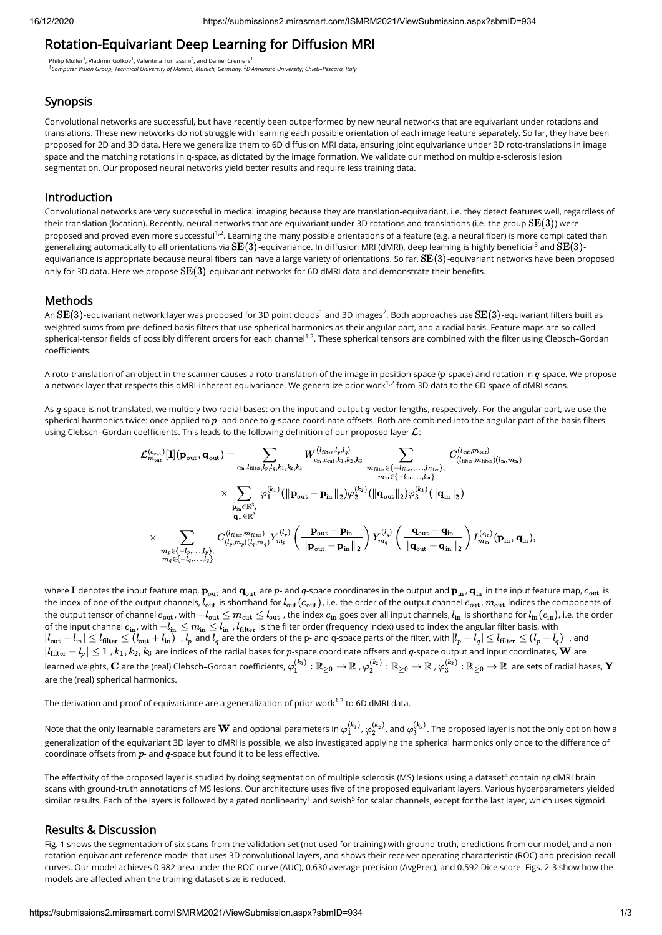# Rotation-Equivariant Deep Learning for Diffusion MRI

Philip Müller', Vladimir Golkov', Valentina Tomassini<del>'</del>, and Daniel Cremers'<br><sup>1</sup>Computer Vision Group, Technical University of Munich, Munich, Germany, <sup>2</sup>D'Annunzio University, Chieti–Pescara, Italy Philip Müller<sup>1</sup>, Vladimir Golkov<sup>1</sup>, Valentina Tomassini<sup>2</sup>, and Daniel Cremers<sup>1</sup><br><sup>1</sup>Computer Vision Group, Technical University of Munich, Munich, Germany, <sup>2</sup>D'A

# Synopsis

Convolutional networks are successful, but have recently been outperformed by new neural networks that are equivariant under rotations and translations. These new networks do not struggle with learning each possible orientation of each image feature separately. So far, they have been proposed for 2D and 3D data. Here we generalize them to 6D diffusion MRI data, ensuring joint equivariance under 3D roto-translations in image space and the matching rotations in q-space, as dictated by the image formation. We validate our method on multiple-sclerosis lesion segmentation. Our proposed neural networks yield better results and require less training data.

## Introduction

Convolutional networks are very successful in medical imaging because they are translation-equivariant, i.e. they detect features well, regardless of their translation (location). Recently, neural networks that are equivariant under 3D rotations and translations (i.e. the group  $\overline{\mathrm{SE(3)}}$ ) were proposed and proved even more successful<sup>1,2</sup>. Learning the many possible orientations of a feature (e.g. a neural fiber) is more complicated than generalizing automatically to all orientations via  $\mathrm{SE}(3)$ -equivariance. In diffusion MRI (dMRI), deep learning is highly beneficial<sup>3</sup> and  $\mathrm{SE}(3)$ equivariance is appropriate because neural fibers can have a large variety of orientations. So far,  $\overline{\text{SE}}(3)$ -equivariant networks have been proposed only for 3D data. Here we propose  $\overline{\mathrm{SE}}(3)$ -equivariant networks for 6D dMRI data and demonstrate their benefits.

## Methods

An  $\mathrm{SE}(3)$ -equivariant network layer was proposed for 3D point clouds $^1$  and 3D images $^2$ . Both approaches use  $\mathrm{SE}(3)$ -equivariant filters built as weighted sums from pre-defined basis filters that use spherical harmonics as their angular part, and a radial basis. Feature maps are so-called spherical-tensor fields of possibly different orders for each channel<sup>1,2</sup>. These spherical tensors are combined with the filter using Clebsch–Gordan coefficients

A roto-translation of an object in the scanner causes a roto-translation of the image in position space  $(p$ -space) and rotation in  $q$ -space. We propose a network layer that respects this dMRI-inherent equivariance. We generalize prior work<sup>1,2</sup> from 3D data to the 6D space of dMRI scans.

As  $q$ -space is not translated, we multiply two radial bases: on the input and output  $q$ -vector lengths, respectively. For the angular part, we use the spherical harmonics twice: once applied to  $p\text{-}$  and once to  $q\text{-}$ space coordinate offsets. Both are combined into the angular part of the basis filters using Clebsch–Gordan coefficients. This leads to the following definition of our proposed layer  $\mathcal{L}$ :<br>  $\mathcal{L}_{m_{\text{out}}}^{(c_{\text{out}})}[\mathbf{I}](\mathbf{p}_{\text{out}}, \mathbf{q}_{\text{out}}) = \sum_{\mathcal{L}_{m_{\text{out}}}^{(c_{\text{out}}, b_{\text{in}})} \in \mathcal{L}_{m_{\text{out}}}^{(c_{\text{out}}, b_{$ 

$$
\begin{split} \mathcal{L}_{m_{\text{out}}}^{(c_{\text{out}})}[\textbf{I}](\textbf{p}_{\text{out}},\textbf{q}_{\text{out}}) &= \sum_{c_{\text{in}},l_{\text{filter}},l_{p},l_{q},k_{1},k_{2},k_{3}} W_{c_{\text{in}},c_{\text{out}},k_{1},k_{2},k_{3}}^{(l_{\text{filter}},l_{p},l_{q})} \sum_{m_{\text{filter}} \in \{-l_{\text{filter}},\ldots,l_{\text{filter}}\},\atop m_{\text{in}} \in \{-l_{\text{in}},\ldots,l_{\text{in}}\}} C_{(l_{\text{filter}},m_{\text{filter}})(l_{\text{in}},m_{\text{in}})}^{(l_{\text{out}},m_{\text{out}})} \\ &\times \sum_{\textbf{p}_{\text{in}} \in \mathbb{R}^{3},\atop \textbf{q}_{\text{in}} \in \mathbb{R}^{3}} \varphi_{1}^{(k_{1})}(\|\textbf{p}_{\text{out}}-\textbf{p}_{\text{in}}\|_{2}) \varphi_{2}^{(k_{2})}(\|\textbf{q}_{\text{out}}\|_{2}) \varphi_{3}^{(k_{3})}(\|\textbf{q}_{\text{in}}\|_{2}) \\ &\times \sum_{m_{p} \in \{-l_{p},\ldots,l_{p}\},\atop m_{q} \in \{-l_{p},\ldots,l_{q}\}} C_{(l_{\text{filter}},m_{\text{filter}})}^{(l_{\text{inter}},l_{p},l_{q},k_{1},k_{2},k_{3}} W_{m_{p}}^{(l_{p})}\left(\frac{\textbf{p}_{\text{out}}-\textbf{p}_{\text{in}}}{\|\textbf{p}_{\text{out}}-\textbf{p}_{\text{in}}\|_{2}}\right) Y_{m_{q}}^{(l_{q})}\left(\frac{\textbf{q}_{\text{out}}-\textbf{q}_{\text{in}}}{\|\textbf{q}_{\text{out}}-\textbf{q}_{\text{in}}\|_{2}}\right) I_{m_{\text{in}}}^{(c_{\text{in}})}(\textbf{p}_{\text{in}},\textbf{q}_{\text{in}}), \end{split}
$$

where  ${\bf I}$  denotes the input feature map,  ${\bf p}_o$  and  ${\bf q}_{\rm out}$  are  $p$ - and  $q$ -space coordinates in the output and  ${\bf p}_{\rm in}$ ,  ${\bf q}_{\rm in}$  in the input feature map,  $c_{\rm out}$  is the index of one of the output channels,  $l_{\text{out}}$  is shorthand for  $l_{\text{out}}(c_{\text{out}})$ , i.e. the order of the output channel  $c_{\text{out}}$ ,  $m_{\text{out}}$  indices the components of the output tensor of channel  $c_{\rm out}$ , with  $-l_{\rm out}\leq m_{\rm out}\leq l_{\rm out}$  , the index  $c_{\rm in}$  goes over all input channels,  $l_{\rm in}$  is shorthand for  $l_{\rm in}(c_{\rm in})$ , i.e. the order of the input channel  $c_{\rm in}$  with  $-l_{\rm in}\le m_{\rm in}\le l_{\rm in}$  ,  $l_{\rm filter}$  is the filter order (frequency index) used to index the angular filter basis, with ,  $l_n$  and  $l_q$  are the orders of the p- and q-space parts of the filter, with  $|l_n-l_q|\le l_{\rm filter}\le (l_n+l_q)$  , and ,  $k_1,k_2,k_3$  are indices of the radial bases for  $p$ -space coordinate offsets and  $q$ -space output and input coordinates,  ${\bf W}$  are learned weights,  ${\bf C}$  are the (real) Clebsch–Gordan coefficients,  $\varphi^{(k_1)}_1: \R_{\geq 0} \to \R$  ,  $\varphi^{(k_2)}_2: \R_{\geq 0} \to \R$  ,  $\varphi^{(k_3)}_3: \R_{\geq 0} \to \R$  are sets of radial bases,  ${\bf Y}$ are the (real) spherical harmonics. of the input channel  $c_{\text{in}}$ , with  $-l_{\text{in}} \leq m_{\text{in}} \leq l_{\text{in}}$ ,  $l_{\text{filter}}$  is the filter order (frequency index) used to index the angular filter basis, with  $|l_{\text{out}} - l_{\text{in}}| \leq l_{\text{filter}} \leq (l_{\text{out}} + l_{\text{in}})$ ,  $l_p$  and  $|l_{\rm filter}-l_p|\leq 1$  ,  $k_1,k_2,k_3$  are indices of the radial bases for  $p$ -space coordinate offsets and  $q$ -space output and input coordinates,  ${\bf W}$  a

The derivation and proof of equivariance are a generalization of prior work $^{1,2}$  to 6D dMRI data.

Note that the only learnable parameters are  ${\bf W}$  and optional parameters in  $\varphi^{(k_1)}_1$ ,  $\varphi^{(k_2)}_2$ , and  $\varphi^{(k_3)}_3$ . The proposed layer is not the only option how a generalization of the equivariant 3D layer to dMRI is possible, we also investigated applying the spherical harmonics only once to the difference of coordinate offsets from  $p\text{-}$  and  $q\text{-}$ space but found it to be less effective.

The effectivity of the proposed layer is studied by doing segmentation of multiple sclerosis (MS) lesions using a dataset<sup>4</sup> containing dMRI brain scans with ground-truth annotations of MS lesions. Our architecture uses five of the proposed equivariant layers. Various hyperparameters yielded similar results. Each of the layers is followed by a gated nonlinearity<sup>1</sup> and swish<sup>5</sup> for scalar channels, except for the last layer, which uses sigmoid.

## Results & Discussion

Fig. 1 shows the segmentation of six scans from the validation set (not used for training) with ground truth, predictions from our model, and a nonrotation-equivariant reference model that uses 3D convolutional layers, and shows their receiver operating characteristic (ROC) and precision-recall curves. Our model achieves 0.982 area under the ROC curve (AUC), 0.630 average precision (AvgPrec), and 0.592 Dice score. Figs. 2-3 show how the models are affected when the training dataset size is reduced.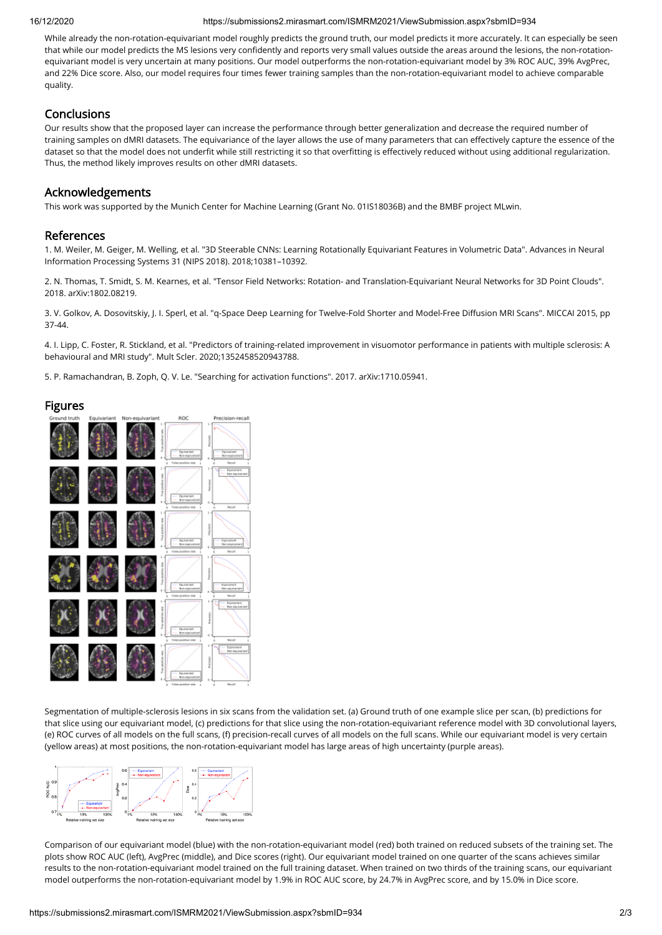### 16/12/2020 https://submissions2.mirasmart.com/ISMRM2021/ViewSubmission.aspx?sbmID=934

While already the non-rotation-equivariant model roughly predicts the ground truth, our model predicts it more accurately. It can especially be seen that while our model predicts the MS lesions very confidently and reports very small values outside the areas around the lesions, the non-rotationequivariant model is very uncertain at many positions. Our model outperforms the non-rotation-equivariant model by 3% ROC AUC, 39% AvgPrec, and 22% Dice score. Also, our model requires four times fewer training samples than the non-rotation-equivariant model to achieve comparable quality.

## **Conclusions**

Our results show that the proposed layer can increase the performance through better generalization and decrease the required number of training samples on dMRI datasets. The equivariance of the layer allows the use of many parameters that can effectively capture the essence of the dataset so that the model does not underfit while still restricting it so that overfitting is effectively reduced without using additional regularization. Thus, the method likely improves results on other dMRI datasets.

## Acknowledgements

This work was supported by the Munich Center for Machine Learning (Grant No. 01IS18036B) and the BMBF project MLwin.

## References

1. M. Weiler, M. Geiger, M. Welling, et al. "3D Steerable CNNs: Learning Rotationally Equivariant Features in Volumetric Data". Advances in Neural Information Processing Systems 31 (NIPS 2018). 2018;10381–10392.

2. N. Thomas, T. Smidt, S. M. Kearnes, et al. "Tensor Field Networks: Rotation- and Translation-Equivariant Neural Networks for 3D Point Clouds". 2018. arXiv:1802.08219.

3. V. Golkov, A. Dosovitskiy, J. I. Sperl, et al. "q-Space Deep Learning for Twelve-Fold Shorter and Model-Free Diffusion MRI Scans". MICCAI 2015, pp 37-44.

4. I. Lipp, C. Foster, R. Stickland, et al. "Predictors of training-related improvement in visuomotor performance in patients with multiple sclerosis: A behavioural and MRI study". Mult Scler. 2020;1352458520943788.

5. P. Ramachandran, B. Zoph, Q. V. Le. "Searching for activation functions". 2017. arXiv:1710.05941.

## Figures



Segmentation of multiple-sclerosis lesions in six scans from the validation set. (a) Ground truth of one example slice per scan, (b) predictions for that slice using our equivariant model, (c) predictions for that slice using the non-rotation-equivariant reference model with 3D convolutional layers, (e) ROC curves of all models on the full scans, (f) precision-recall curves of all models on the full scans. While our equivariant model is very certain (yellow areas) at most positions, the non-rotation-equivariant model has large areas of high uncertainty (purple areas).



Comparison of our equivariant model (blue) with the non-rotation-equivariant model (red) both trained on reduced subsets of the training set. The plots show ROC AUC (left), AvgPrec (middle), and Dice scores (right). Our equivariant model trained on one quarter of the scans achieves similar results to the non-rotation-equivariant model trained on the full training dataset. When trained on two thirds of the training scans, our equivariant model outperforms the non-rotation-equivariant model by 1.9% in ROC AUC score, by 24.7% in AvgPrec score, and by 15.0% in Dice score.